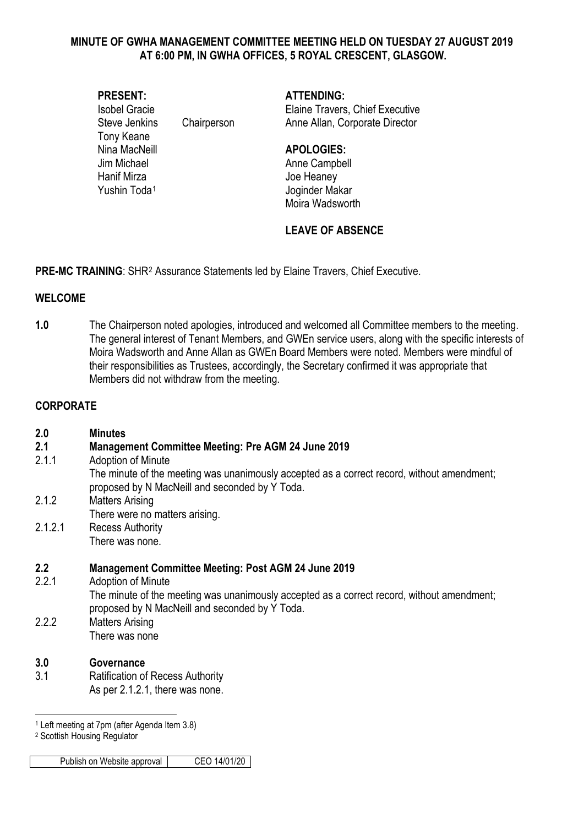#### **MINUTE OF GWHA MANAGEMENT COMMITTEE MEETING HELD ON TUESDAY 27 AUGUST 2019 AT 6:00 PM, IN GWHA OFFICES, 5 ROYAL CRESCENT, GLASGOW.**

## **PRESENT: ATTENDING:**

Tony Keane Nina MacNeill **APOLOGIES:** Jim Michael **Anne Campbell** Hanif Mirza **Hanif Mirza** Joe Heaney

Isobel Gracie Elaine Travers, Chief Executive Steve Jenkins Chairperson Anne Allan, Corporate Director

Yushin Toda<sup>[1](#page-0-0)</sup> Joginder Makar Moira Wadsworth

# **LEAVE OF ABSENCE**

**PRE-MC TRAINING:** SHR<sup>[2](#page-0-1)</sup> Assurance Statements led by Elaine Travers, Chief Executive.

## **WELCOME**

**1.0** The Chairperson noted apologies, introduced and welcomed all Committee members to the meeting. The general interest of Tenant Members, and GWEn service users, along with the specific interests of Moira Wadsworth and Anne Allan as GWEn Board Members were noted. Members were mindful of their responsibilities as Trustees, accordingly, the Secretary confirmed it was appropriate that Members did not withdraw from the meeting.

## **CORPORATE**

| 2.0     | <b>Minutes</b>                                                                                                                               |
|---------|----------------------------------------------------------------------------------------------------------------------------------------------|
| 2.1     | <b>Management Committee Meeting: Pre AGM 24 June 2019</b>                                                                                    |
| 2.1.1   | Adoption of Minute                                                                                                                           |
|         | The minute of the meeting was unanimously accepted as a correct record, without amendment;<br>proposed by N MacNeill and seconded by Y Toda. |
| 2.1.2   | <b>Matters Arising</b>                                                                                                                       |
|         | There were no matters arising.                                                                                                               |
| 2.1.2.1 | <b>Recess Authority</b>                                                                                                                      |
|         | There was none.                                                                                                                              |
| 2.2     | <b>Management Committee Meeting: Post AGM 24 June 2019</b>                                                                                   |
| 2.2.1   | Adoption of Minute                                                                                                                           |
|         | The minute of the meeting was unanimously accepted as a correct record, without amendment;<br>proposed by N MacNeill and seconded by Y Toda. |
| 2.2.2   | <b>Matters Arising</b>                                                                                                                       |
|         | There was none                                                                                                                               |
| 3.0     | Governance                                                                                                                                   |
| 3.1     | <b>Ratification of Recess Authority</b>                                                                                                      |
|         | As per 2.1.2.1, there was none.                                                                                                              |

-<sup>1</sup> Left meeting at 7pm (after Agenda Item 3.8)

<span id="page-0-1"></span><span id="page-0-0"></span><sup>2</sup> Scottish Housing Regulator

Publish on Website approval CEO 14/01/20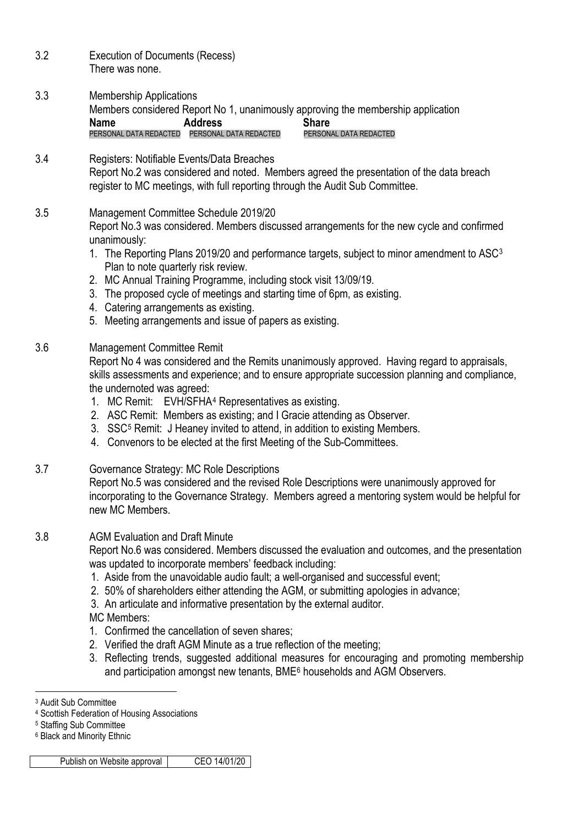| 3.2 | <b>Execution of Documents (Recess)</b><br>There was none.                                                                                                                                                                                                                                                                                                                                                                                                                                                                                                                                                                                                                                                                                                                                             |
|-----|-------------------------------------------------------------------------------------------------------------------------------------------------------------------------------------------------------------------------------------------------------------------------------------------------------------------------------------------------------------------------------------------------------------------------------------------------------------------------------------------------------------------------------------------------------------------------------------------------------------------------------------------------------------------------------------------------------------------------------------------------------------------------------------------------------|
| 3.3 | <b>Membership Applications</b><br>Members considered Report No 1, unanimously approving the membership application<br><b>Name</b><br><b>Address</b><br><b>Share</b><br>PERSONAL DATA REDACTED<br>PERSONAL DATA REDACTED<br>PERSONAL DATA REDACTED                                                                                                                                                                                                                                                                                                                                                                                                                                                                                                                                                     |
| 3.4 | Registers: Notifiable Events/Data Breaches<br>Report No.2 was considered and noted. Members agreed the presentation of the data breach<br>register to MC meetings, with full reporting through the Audit Sub Committee.                                                                                                                                                                                                                                                                                                                                                                                                                                                                                                                                                                               |
| 3.5 | Management Committee Schedule 2019/20<br>Report No.3 was considered. Members discussed arrangements for the new cycle and confirmed<br>unanimously:<br>1. The Reporting Plans 2019/20 and performance targets, subject to minor amendment to ASC <sup>3</sup><br>Plan to note quarterly risk review.<br>2. MC Annual Training Programme, including stock visit 13/09/19.<br>3. The proposed cycle of meetings and starting time of 6pm, as existing.<br>4. Catering arrangements as existing.<br>5. Meeting arrangements and issue of papers as existing.                                                                                                                                                                                                                                             |
| 3.6 | <b>Management Committee Remit</b><br>Report No 4 was considered and the Remits unanimously approved. Having regard to appraisals,<br>skills assessments and experience; and to ensure appropriate succession planning and compliance,<br>the undernoted was agreed:<br>1. MC Remit: EVH/SFHA <sup>4</sup> Representatives as existing.<br>2. ASC Remit: Members as existing; and I Gracie attending as Observer.<br>3. SSC <sup>5</sup> Remit: J Heaney invited to attend, in addition to existing Members.<br>4. Convenors to be elected at the first Meeting of the Sub-Committees.                                                                                                                                                                                                                 |
| 3.7 | Governance Strategy: MC Role Descriptions<br>Report No.5 was considered and the revised Role Descriptions were unanimously approved for<br>incorporating to the Governance Strategy. Members agreed a mentoring system would be helpful for<br>new MC Members.                                                                                                                                                                                                                                                                                                                                                                                                                                                                                                                                        |
| 3.8 | <b>AGM Evaluation and Draft Minute</b><br>Report No.6 was considered. Members discussed the evaluation and outcomes, and the presentation<br>was updated to incorporate members' feedback including:<br>1. Aside from the unavoidable audio fault; a well-organised and successful event;<br>2. 50% of shareholders either attending the AGM, or submitting apologies in advance;<br>3. An articulate and informative presentation by the external auditor.<br><b>MC Members:</b><br>1. Confirmed the cancellation of seven shares;<br>2. Verified the draft AGM Minute as a true reflection of the meeting;<br>3. Reflecting trends, suggested additional measures for encouraging and promoting membership<br>and participation amongst new tenants, BME <sup>6</sup> households and AGM Observers. |
|     |                                                                                                                                                                                                                                                                                                                                                                                                                                                                                                                                                                                                                                                                                                                                                                                                       |

<span id="page-1-0"></span><sup>3</sup> Audit Sub Committee

<span id="page-1-2"></span><sup>5</sup> Staffing Sub Committee

<span id="page-1-1"></span><sup>4</sup> Scottish Federation of Housing Associations

<span id="page-1-3"></span><sup>6</sup> Black and Minority Ethnic